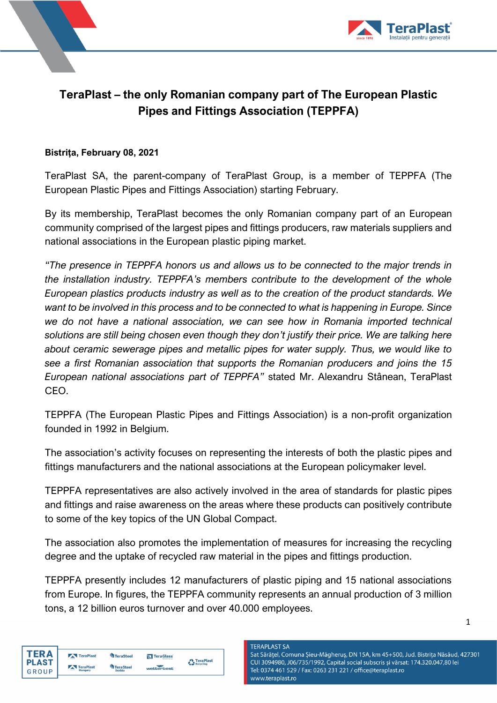



## **TeraPlast – the only Romanian company part of The European Plastic Pipes and Fittings Association (TEPPFA)**

## **Bistrița, February 08, 2021**

TeraPlast SA, the parent-company of TeraPlast Group, is a member of TEPPFA (The European Plastic Pipes and Fittings Association) starting February.

By its membership, TeraPlast becomes the only Romanian company part of an European community comprised of the largest pipes and fittings producers, raw materials suppliers and national associations in the European plastic piping market.

*"The presence in TEPPFA honors us and allows us to be connected to the major trends in the installation industry. TEPPFA's members contribute to the development of the whole European plastics products industry as well as to the creation of the product standards. We want to be involved in this process and to be connected to what is happening in Europe. Since we do not have a national association, we can see how in Romania imported technical solutions are still being chosen even though they don't justify their price. We are talking here about ceramic sewerage pipes and metallic pipes for water supply. Thus, we would like to see a first Romanian association that supports the Romanian producers and joins the 15 European national associations part of TEPPFA"* stated Mr. Alexandru Stânean, TeraPlast CEO.

TEPPFA (The European Plastic Pipes and Fittings Association) is a non-profit organization founded in 1992 in Belgium.

The association's activity focuses on representing the interests of both the plastic pipes and fittings manufacturers and the national associations at the European policymaker level.

TEPPFA representatives are also actively involved in the area of standards for plastic pipes and fittings and raise awareness on the areas where these products can positively contribute to some of the key topics of the UN Global Compact.

The association also promotes the implementation of measures for increasing the recycling degree and the uptake of recycled raw material in the pipes and fittings production.

TEPPFA presently includes 12 manufacturers of plastic piping and 15 national associations from Europe. In figures, the TEPPFA community represents an annual production of 3 million tons, a 12 billion euros turnover and over 40.000 employees.



**TERAPLAST SA** Sat Sărățel, Comuna Șieu-Măgheruș, DN 15A, km 45+500, Jud. Bistrița Năsăud, 427301 CUI 3094980, J06/735/1992, Capital social subscris și vărsat: 174.320.047,80 lei Tel: 0374 461 529 / Fax: 0263 231 221 / office@teraplast.ro www.teraplast.ro